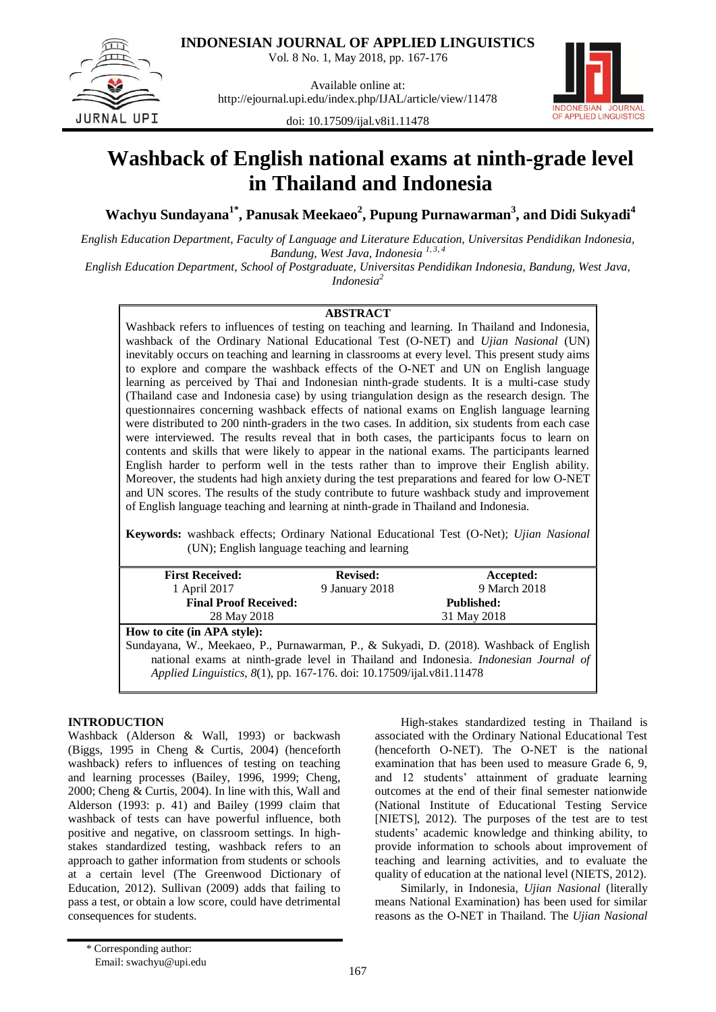

Vol. 8 No. 1, May 2018, pp. 167-176

JURNAL UPI

Available online at: http://ejournal.upi.edu/index.php/IJAL/article/view/11478



doi: 10.17509/ijal.v8i1.11478

# **Washback of English national exams at ninth-grade level in Thailand and Indonesia**

**Wachyu Sundayana1\* , Panusak Meekaeo<sup>2</sup> , Pupung Purnawarman<sup>3</sup> , and Didi Sukyadi<sup>4</sup>**

*English Education Department, Faculty of Language and Literature Education, Universitas Pendidikan Indonesia, Bandung, West Java, Indonesia 1, 3, 4*

*English Education Department, School of Postgraduate, Universitas Pendidikan Indonesia, Bandung, West Java, Indonesia<sup>2</sup>*

# **ABSTRACT**

Washback refers to influences of testing on teaching and learning. In Thailand and Indonesia, washback of the Ordinary National Educational Test (O-NET) and *Ujian Nasional* (UN) inevitably occurs on teaching and learning in classrooms at every level. This present study aims to explore and compare the washback effects of the O-NET and UN on English language learning as perceived by Thai and Indonesian ninth-grade students. It is a multi-case study (Thailand case and Indonesia case) by using triangulation design as the research design. The questionnaires concerning washback effects of national exams on English language learning were distributed to 200 ninth-graders in the two cases. In addition, six students from each case were interviewed. The results reveal that in both cases, the participants focus to learn on contents and skills that were likely to appear in the national exams. The participants learned English harder to perform well in the tests rather than to improve their English ability. Moreover, the students had high anxiety during the test preparations and feared for low O-NET and UN scores. The results of the study contribute to future washback study and improvement of English language teaching and learning at ninth-grade in Thailand and Indonesia.

**Keywords:** washback effects; Ordinary National Educational Test (O-Net); *Ujian Nasional* (UN); English language teaching and learning

| <b>First Received:</b>                                                                 | <b>Revised:</b> | Accepted:         |  |  |  |  |  |
|----------------------------------------------------------------------------------------|-----------------|-------------------|--|--|--|--|--|
| 1 April 2017                                                                           | 9 January 2018  | 9 March 2018      |  |  |  |  |  |
| <b>Final Proof Received:</b>                                                           |                 | <b>Published:</b> |  |  |  |  |  |
| 28 May 2018                                                                            | 31 May 2018     |                   |  |  |  |  |  |
| How to cite (in APA style):                                                            |                 |                   |  |  |  |  |  |
| Sundayana, W., Meekaeo, P., Purnawarman, P., & Sukyadi, D. (2018). Washback of English |                 |                   |  |  |  |  |  |
| national exams at ninth-grade level in Thailand and Indonesia. Indonesian Journal of   |                 |                   |  |  |  |  |  |
| Applied Linguistics, 8(1), pp. 167-176. doi: 10.17509/ijal.v8i1.11478                  |                 |                   |  |  |  |  |  |
|                                                                                        |                 |                   |  |  |  |  |  |

# **INTRODUCTION**

Washback (Alderson & Wall, 1993) or backwash (Biggs, 1995 in Cheng & Curtis, 2004) (henceforth washback) refers to influences of testing on teaching and learning processes (Bailey, 1996, 1999; Cheng, 2000; Cheng & Curtis, 2004). In line with this, Wall and Alderson (1993: p. 41) and Bailey (1999 claim that washback of tests can have powerful influence, both positive and negative, on classroom settings. In highstakes standardized testing, washback refers to an approach to gather information from students or schools at a certain level (The Greenwood Dictionary of Education, 2012). Sullivan (2009) adds that failing to pass a test, or obtain a low score, could have detrimental consequences for students.

High-stakes standardized testing in Thailand is associated with the Ordinary National Educational Test (henceforth O-NET). The O-NET is the national examination that has been used to measure Grade 6, 9, and 12 students' attainment of graduate learning outcomes at the end of their final semester nationwide (National Institute of Educational Testing Service [NIETS], 2012). The purposes of the test are to test students" academic knowledge and thinking ability, to provide information to schools about improvement of teaching and learning activities, and to evaluate the quality of education at the national level (NIETS, 2012).

Similarly, in Indonesia, *Ujian Nasional* (literally means National Examination) has been used for similar reasons as the O-NET in Thailand. The *Ujian Nasional*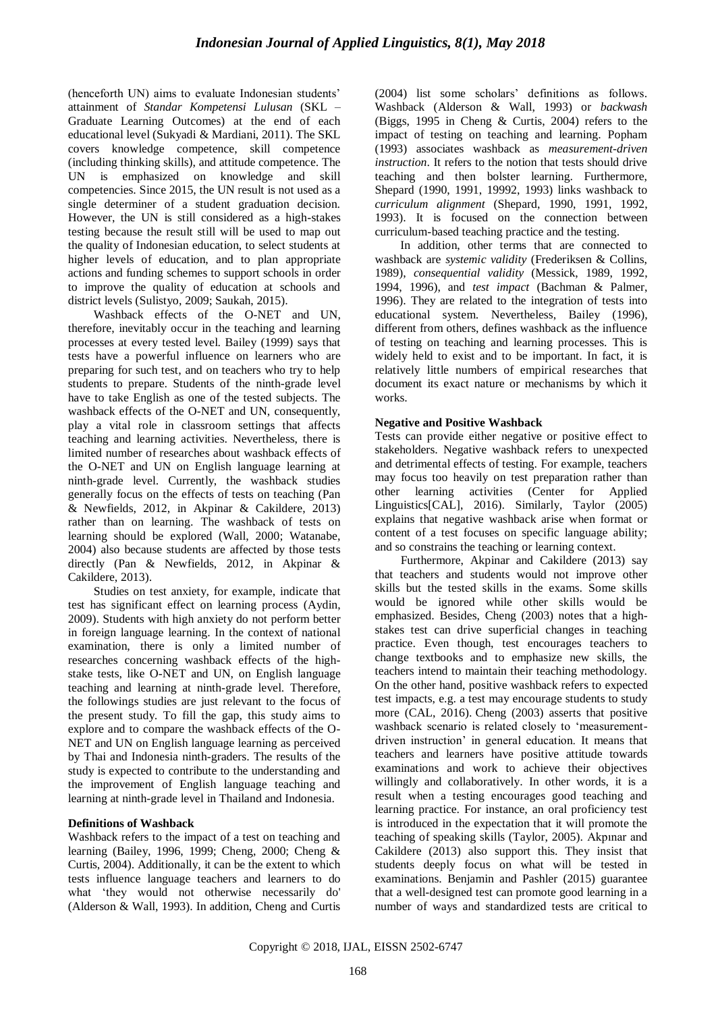(henceforth UN) aims to evaluate Indonesian students' attainment of *Standar Kompetensi Lulusan* (SKL – Graduate Learning Outcomes) at the end of each educational level (Sukyadi & Mardiani, 2011). The SKL covers knowledge competence, skill competence (including thinking skills), and attitude competence. The UN is emphasized on knowledge and skill competencies. Since 2015, the UN result is not used as a single determiner of a student graduation decision. However, the UN is still considered as a high-stakes testing because the result still will be used to map out the quality of Indonesian education, to select students at higher levels of education, and to plan appropriate actions and funding schemes to support schools in order to improve the quality of education at schools and district levels (Sulistyo, 2009; Saukah, 2015).

Washback effects of the O-NET and UN, therefore, inevitably occur in the teaching and learning processes at every tested level. Bailey (1999) says that tests have a powerful influence on learners who are preparing for such test, and on teachers who try to help students to prepare. Students of the ninth-grade level have to take English as one of the tested subjects. The washback effects of the O-NET and UN, consequently, play a vital role in classroom settings that affects teaching and learning activities. Nevertheless, there is limited number of researches about washback effects of the O-NET and UN on English language learning at ninth-grade level. Currently, the washback studies generally focus on the effects of tests on teaching (Pan & Newfields, 2012, in Akpinar & Cakildere, 2013) rather than on learning. The washback of tests on learning should be explored (Wall, 2000; Watanabe, 2004) also because students are affected by those tests directly (Pan & Newfields, 2012, in Akpinar & Cakildere, 2013).

Studies on test anxiety, for example, indicate that test has significant effect on learning process (Aydin, 2009). Students with high anxiety do not perform better in foreign language learning. In the context of national examination, there is only a limited number of researches concerning washback effects of the highstake tests, like O-NET and UN, on English language teaching and learning at ninth-grade level. Therefore, the followings studies are just relevant to the focus of the present study. To fill the gap, this study aims to explore and to compare the washback effects of the O-NET and UN on English language learning as perceived by Thai and Indonesia ninth-graders. The results of the study is expected to contribute to the understanding and the improvement of English language teaching and learning at ninth-grade level in Thailand and Indonesia.

## **Definitions of Washback**

Washback refers to the impact of a test on teaching and learning (Bailey, 1996, 1999; Cheng, 2000; Cheng & Curtis, 2004). Additionally, it can be the extent to which tests influence language teachers and learners to do what "they would not otherwise necessarily do' (Alderson & Wall, 1993). In addition, Cheng and Curtis (2004) list some scholars" definitions as follows. Washback (Alderson & Wall, 1993) or *backwash*  (Biggs, 1995 in Cheng & Curtis, 2004) refers to the impact of testing on teaching and learning. Popham (1993) associates washback as *measurement-driven instruction*. It refers to the notion that tests should drive teaching and then bolster learning. Furthermore, Shepard (1990, 1991, 19992, 1993) links washback to *curriculum alignment* (Shepard, 1990, 1991, 1992, 1993). It is focused on the connection between curriculum-based teaching practice and the testing.

In addition, other terms that are connected to washback are *systemic validity* (Frederiksen & Collins, 1989), *consequential validity* (Messick, 1989, 1992, 1994, 1996), and *test impact* (Bachman & Palmer, 1996). They are related to the integration of tests into educational system. Nevertheless, Bailey (1996), different from others, defines washback as the influence of testing on teaching and learning processes. This is widely held to exist and to be important. In fact, it is relatively little numbers of empirical researches that document its exact nature or mechanisms by which it works.

# **Negative and Positive Washback**

Tests can provide either negative or positive effect to stakeholders. Negative washback refers to unexpected and detrimental effects of testing. For example, teachers may focus too heavily on test preparation rather than other learning activities (Center for Applied Linguistics[CAL], 2016). Similarly, Taylor (2005) explains that negative washback arise when format or content of a test focuses on specific language ability; and so constrains the teaching or learning context.

Furthermore, Akpinar and Cakildere (2013) say that teachers and students would not improve other skills but the tested skills in the exams. Some skills would be ignored while other skills would be emphasized. Besides, Cheng (2003) notes that a highstakes test can drive superficial changes in teaching practice. Even though, test encourages teachers to change textbooks and to emphasize new skills, the teachers intend to maintain their teaching methodology. On the other hand, positive washback refers to expected test impacts, e.g. a test may encourage students to study more (CAL, 2016). Cheng (2003) asserts that positive washback scenario is related closely to "measurementdriven instruction" in general education. It means that teachers and learners have positive attitude towards examinations and work to achieve their objectives willingly and collaboratively. In other words, it is a result when a testing encourages good teaching and learning practice. For instance, an oral proficiency test is introduced in the expectation that it will promote the teaching of speaking skills (Taylor, 2005). Akpınar and Cakildere (2013) also support this. They insist that students deeply focus on what will be tested in examinations. Benjamin and Pashler (2015) guarantee that a well-designed test can promote good learning in a number of ways and standardized tests are critical to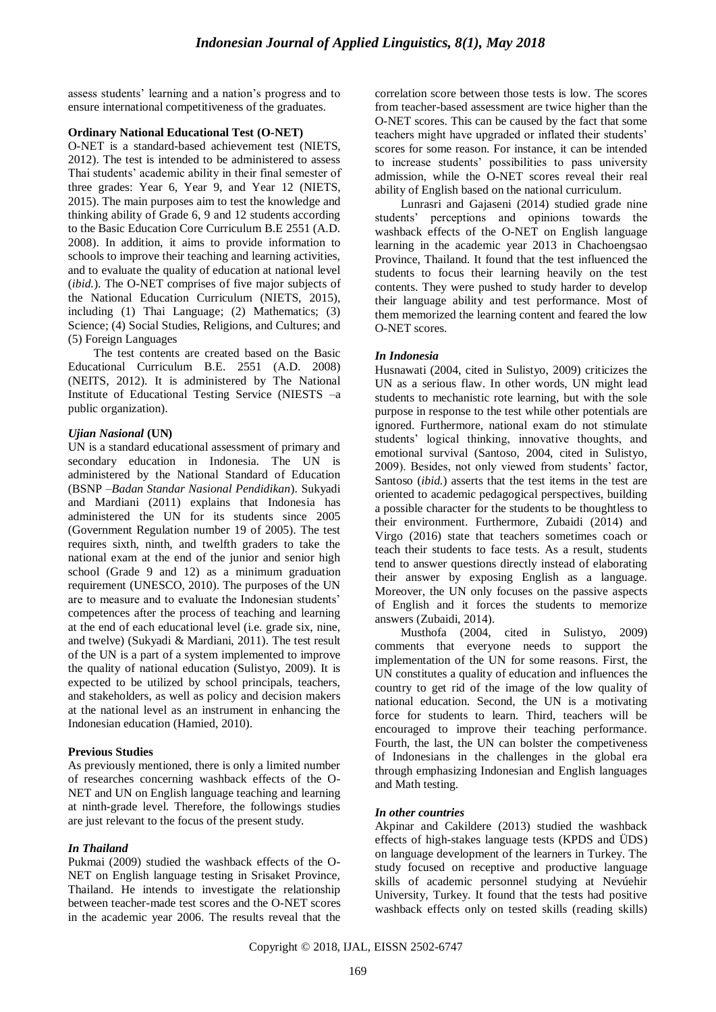assess students' learning and a nation's progress and to ensure international competitiveness of the graduates.

## **Ordinary National Educational Test (O-NET)**

O-NET is a standard-based achievement test (NIETS, 2012). The test is intended to be administered to assess Thai students' academic ability in their final semester of three grades: Year 6, Year 9, and Year 12 (NIETS, 2015). The main purposes aim to test the knowledge and thinking ability of Grade 6, 9 and 12 students according to the Basic Education Core Curriculum B.E 2551 (A.D. 2008). In addition, it aims to provide information to schools to improve their teaching and learning activities, and to evaluate the quality of education at national level (*ibid.*). The O-NET comprises of five major subjects of the National Education Curriculum (NIETS, 2015), including (1) Thai Language; (2) Mathematics; (3) Science; (4) Social Studies, Religions, and Cultures; and (5) Foreign Languages

The test contents are created based on the Basic Educational Curriculum B.E. 2551 (A.D. 2008) (NEITS, 2012). It is administered by The National Institute of Educational Testing Service (NIESTS –a public organization).

# *Ujian Nasional* **(UN)**

UN is a standard educational assessment of primary and secondary education in Indonesia. The UN is administered by the National Standard of Education (BSNP –*Badan Standar Nasional Pendidikan*). Sukyadi and Mardiani (2011) explains that Indonesia has administered the UN for its students since 2005 (Government Regulation number 19 of 2005). The test requires sixth, ninth, and twelfth graders to take the national exam at the end of the junior and senior high school (Grade 9 and 12) as a minimum graduation requirement (UNESCO, 2010). The purposes of the UN are to measure and to evaluate the Indonesian students" competences after the process of teaching and learning at the end of each educational level (i.e. grade six, nine, and twelve) (Sukyadi & Mardiani, 2011). The test result of the UN is a part of a system implemented to improve the quality of national education (Sulistyo, 2009). It is expected to be utilized by school principals, teachers, and stakeholders, as well as policy and decision makers at the national level as an instrument in enhancing the Indonesian education (Hamied, 2010).

## **Previous Studies**

As previously mentioned, there is only a limited number of researches concerning washback effects of the O-NET and UN on English language teaching and learning at ninth-grade level. Therefore, the followings studies are just relevant to the focus of the present study.

## *In Thailand*

Pukmai (2009) studied the washback effects of the O-NET on English language testing in Srisaket Province, Thailand. He intends to investigate the relationship between teacher-made test scores and the O-NET scores in the academic year 2006. The results reveal that the correlation score between those tests is low. The scores from teacher-based assessment are twice higher than the O-NET scores. This can be caused by the fact that some teachers might have upgraded or inflated their students" scores for some reason. For instance, it can be intended to increase students" possibilities to pass university admission, while the O-NET scores reveal their real ability of English based on the national curriculum.

Lunrasri and Gajaseni (2014) studied grade nine students" perceptions and opinions towards the washback effects of the O-NET on English language learning in the academic year 2013 in Chachoengsao Province, Thailand. It found that the test influenced the students to focus their learning heavily on the test contents. They were pushed to study harder to develop their language ability and test performance. Most of them memorized the learning content and feared the low O-NET scores.

## *In Indonesia*

Husnawati (2004, cited in Sulistyo, 2009) criticizes the UN as a serious flaw. In other words, UN might lead students to mechanistic rote learning, but with the sole purpose in response to the test while other potentials are ignored. Furthermore, national exam do not stimulate students" logical thinking, innovative thoughts, and emotional survival (Santoso, 2004, cited in Sulistyo, 2009). Besides, not only viewed from students' factor, Santoso (*ibid.*) asserts that the test items in the test are oriented to academic pedagogical perspectives, building a possible character for the students to be thoughtless to their environment. Furthermore, Zubaidi (2014) and Virgo (2016) state that teachers sometimes coach or teach their students to face tests. As a result, students tend to answer questions directly instead of elaborating their answer by exposing English as a language. Moreover, the UN only focuses on the passive aspects of English and it forces the students to memorize answers (Zubaidi, 2014).

Musthofa (2004, cited in Sulistyo, 2009) comments that everyone needs to support the implementation of the UN for some reasons. First, the UN constitutes a quality of education and influences the country to get rid of the image of the low quality of national education. Second, the UN is a motivating force for students to learn. Third, teachers will be encouraged to improve their teaching performance. Fourth, the last, the UN can bolster the competiveness of Indonesians in the challenges in the global era through emphasizing Indonesian and English languages and Math testing.

# *In other countries*

Akpinar and Cakildere (2013) studied the washback effects of high-stakes language tests (KPDS and ÜDS) on language development of the learners in Turkey. The study focused on receptive and productive language skills of academic personnel studying at Nevúehir University, Turkey. It found that the tests had positive washback effects only on tested skills (reading skills)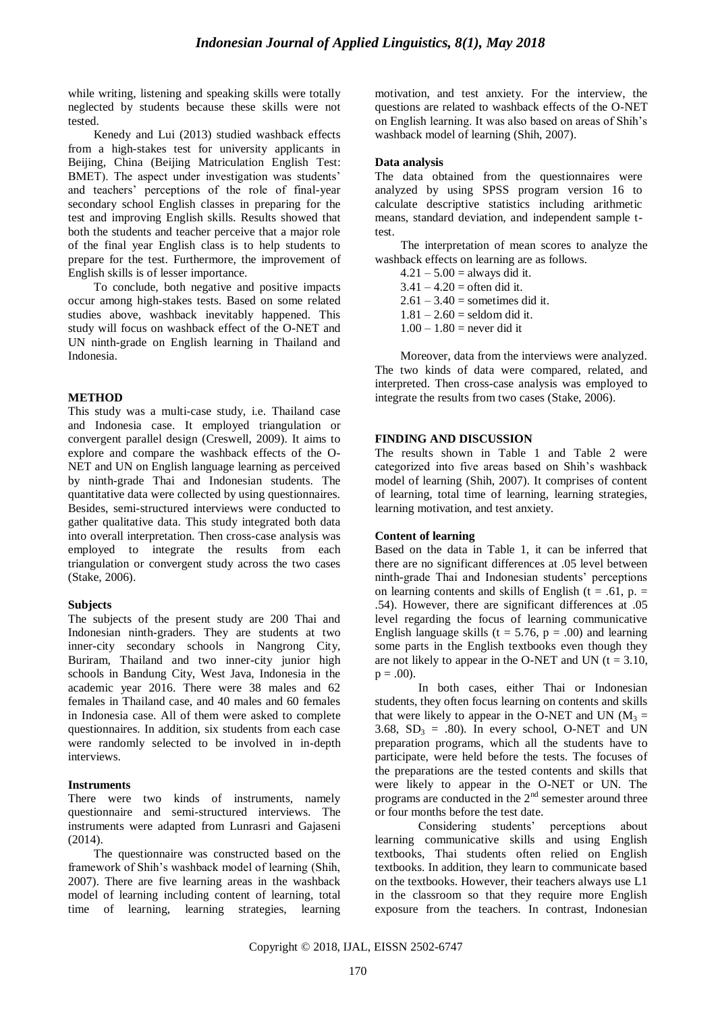while writing, listening and speaking skills were totally neglected by students because these skills were not tested.

Kenedy and Lui (2013) studied washback effects from a high-stakes test for university applicants in Beijing, China (Beijing Matriculation English Test: BMET). The aspect under investigation was students' and teachers" perceptions of the role of final-year secondary school English classes in preparing for the test and improving English skills. Results showed that both the students and teacher perceive that a major role of the final year English class is to help students to prepare for the test. Furthermore, the improvement of English skills is of lesser importance.

To conclude, both negative and positive impacts occur among high-stakes tests. Based on some related studies above, washback inevitably happened. This study will focus on washback effect of the O-NET and UN ninth-grade on English learning in Thailand and Indonesia.

## **METHOD**

This study was a multi-case study, i.e. Thailand case and Indonesia case. It employed triangulation or convergent parallel design (Creswell, 2009). It aims to explore and compare the washback effects of the O-NET and UN on English language learning as perceived by ninth-grade Thai and Indonesian students. The quantitative data were collected by using questionnaires. Besides, semi-structured interviews were conducted to gather qualitative data. This study integrated both data into overall interpretation. Then cross-case analysis was employed to integrate the results from each triangulation or convergent study across the two cases (Stake, 2006).

## **Subjects**

The subjects of the present study are 200 Thai and Indonesian ninth-graders. They are students at two inner-city secondary schools in Nangrong City, Buriram, Thailand and two inner-city junior high schools in Bandung City, West Java, Indonesia in the academic year 2016. There were 38 males and 62 females in Thailand case, and 40 males and 60 females in Indonesia case. All of them were asked to complete questionnaires. In addition, six students from each case were randomly selected to be involved in in-depth interviews.

## **Instruments**

There were two kinds of instruments, namely questionnaire and semi-structured interviews. The instruments were adapted from Lunrasri and Gajaseni (2014).

The questionnaire was constructed based on the framework of Shih"s washback model of learning (Shih, 2007). There are five learning areas in the washback model of learning including content of learning, total time of learning, learning strategies, learning motivation, and test anxiety. For the interview, the questions are related to washback effects of the O-NET on English learning. It was also based on areas of Shih"s washback model of learning (Shih, 2007).

## **Data analysis**

The data obtained from the questionnaires were analyzed by using SPSS program version 16 to calculate descriptive statistics including arithmetic means, standard deviation, and independent sample ttest.

The interpretation of mean scores to analyze the washback effects on learning are as follows.

 $4.21 - 5.00 =$  always did it.

 $3.41 - 4.20 =$  often did it.

 $2.61 - 3.40$  = sometimes did it.

 $1.81 - 2.60 =$  seldom did it.

 $1.00 - 1.80$  = never did it

Moreover, data from the interviews were analyzed. The two kinds of data were compared, related, and interpreted. Then cross-case analysis was employed to integrate the results from two cases (Stake, 2006).

# **FINDING AND DISCUSSION**

The results shown in Table 1 and Table 2 were categorized into five areas based on Shih"s washback model of learning (Shih, 2007). It comprises of content of learning, total time of learning, learning strategies, learning motivation, and test anxiety.

## **Content of learning**

Based on the data in Table 1, it can be inferred that there are no significant differences at .05 level between ninth-grade Thai and Indonesian students" perceptions on learning contents and skills of English ( $t = .61$ ,  $p =$ .54). However, there are significant differences at .05 level regarding the focus of learning communicative English language skills ( $t = 5.76$ ,  $p = .00$ ) and learning some parts in the English textbooks even though they are not likely to appear in the O-NET and UN ( $t = 3.10$ ,  $p = .00$ ).

In both cases, either Thai or Indonesian students, they often focus learning on contents and skills that were likely to appear in the O-NET and UN ( $M_3$  = 3.68,  $SD_3 = .80$ ). In every school, O-NET and UN preparation programs, which all the students have to participate, were held before the tests. The focuses of the preparations are the tested contents and skills that were likely to appear in the O-NET or UN. The programs are conducted in the  $2<sup>nd</sup>$  semester around three or four months before the test date.

Considering students" perceptions about learning communicative skills and using English textbooks, Thai students often relied on English textbooks. In addition, they learn to communicate based on the textbooks. However, their teachers always use L1 in the classroom so that they require more English exposure from the teachers. In contrast, Indonesian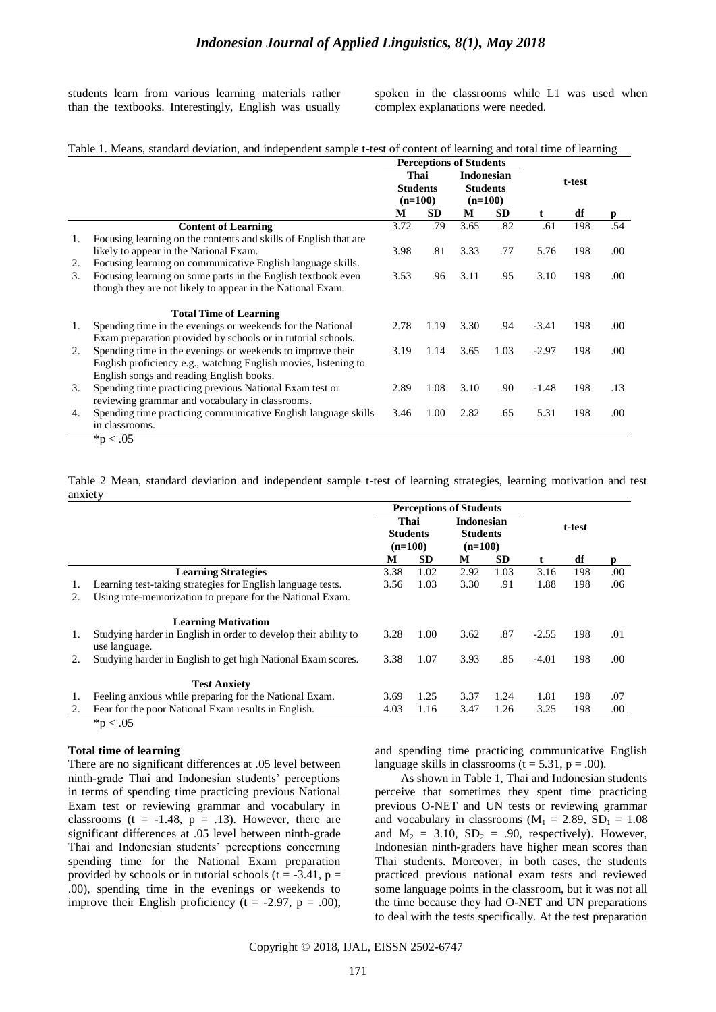students learn from various learning materials rather than the textbooks. Interestingly, English was usually spoken in the classrooms while L1 was used when complex explanations were needed.

|  |  | Table 1. Means, standard deviation, and independent sample t-test of content of learning and total time of learning |
|--|--|---------------------------------------------------------------------------------------------------------------------|
|  |  |                                                                                                                     |

|    |                                                                  | <b>Perceptions of Students</b> |           |                                      |           |         |     |      |  |
|----|------------------------------------------------------------------|--------------------------------|-----------|--------------------------------------|-----------|---------|-----|------|--|
|    |                                                                  | Thai<br><b>Students</b>        |           | <b>Indonesian</b><br><b>Students</b> |           |         |     |      |  |
|    |                                                                  |                                |           |                                      |           | t-test  |     |      |  |
|    |                                                                  | $(n=100)$                      |           | $(n=100)$                            |           |         |     |      |  |
|    |                                                                  | М                              | <b>SD</b> | М                                    | <b>SD</b> | t.      | df  | D    |  |
|    | <b>Content of Learning</b>                                       | 3.72                           | .79       | 3.65                                 | .82       | .61     | 198 | .54  |  |
| 1. | Focusing learning on the contents and skills of English that are |                                |           |                                      |           |         |     |      |  |
|    | likely to appear in the National Exam.                           | 3.98                           | .81       | 3.33                                 | .77       | 5.76    | 198 | .00  |  |
| 2. | Focusing learning on communicative English language skills.      |                                |           |                                      |           |         |     |      |  |
| 3. | Focusing learning on some parts in the English textbook even     | 3.53                           | .96       | 3.11                                 | .95       | 3.10    | 198 | .00. |  |
|    | though they are not likely to appear in the National Exam.       |                                |           |                                      |           |         |     |      |  |
|    | <b>Total Time of Learning</b>                                    |                                |           |                                      |           |         |     |      |  |
| 1. | Spending time in the evenings or weekends for the National       | 2.78                           | 1.19      | 3.30                                 | .94       | $-3.41$ | 198 | .00. |  |
|    | Exam preparation provided by schools or in tutorial schools.     |                                |           |                                      |           |         |     |      |  |
| 2. | Spending time in the evenings or weekends to improve their       | 3.19                           | 1.14      | 3.65                                 | 1.03      | $-2.97$ | 198 | .00. |  |
|    | English proficiency e.g., watching English movies, listening to  |                                |           |                                      |           |         |     |      |  |
|    | English songs and reading English books.                         |                                |           |                                      |           |         |     |      |  |
| 3. | Spending time practicing previous National Exam test or          | 2.89                           | 1.08      | 3.10                                 | .90       | $-1.48$ | 198 | .13  |  |
|    | reviewing grammar and vocabulary in classrooms.                  |                                |           |                                      |           |         |     |      |  |
| 4. | Spending time practicing communicative English language skills   | 3.46                           | 1.00      | 2.82                                 | .65       | 5.31    | 198 | .00. |  |
|    | in classrooms.                                                   |                                |           |                                      |           |         |     |      |  |
|    | $\ddot{v}$ $\ddot{v}$                                            |                                |           |                                      |           |         |     |      |  |

 $*{\rm p}$  < .05

Table 2 Mean, standard deviation and independent sample t-test of learning strategies, learning motivation and test anxiety

|    |                                                                                  | <b>Perceptions of Students</b>       |      |                                                   |           |         |     |     |
|----|----------------------------------------------------------------------------------|--------------------------------------|------|---------------------------------------------------|-----------|---------|-----|-----|
|    |                                                                                  | Thai<br><b>Students</b><br>$(n=100)$ |      | <b>Indonesian</b><br><b>Students</b><br>$(n=100)$ |           | t-test  |     |     |
|    |                                                                                  |                                      |      |                                                   |           |         |     |     |
|    |                                                                                  |                                      |      |                                                   |           |         |     |     |
|    |                                                                                  | М                                    | SD.  | М                                                 | <b>SD</b> | t       | df  | p   |
|    | <b>Learning Strategies</b>                                                       | 3.38                                 | 1.02 | 2.92                                              | 1.03      | 3.16    | 198 | .00 |
| 1. | Learning test-taking strategies for English language tests.                      | 3.56                                 | 1.03 | 3.30                                              | .91       | 1.88    | 198 | .06 |
| 2. | Using rote-memorization to prepare for the National Exam.                        |                                      |      |                                                   |           |         |     |     |
|    | <b>Learning Motivation</b>                                                       |                                      |      |                                                   |           |         |     |     |
| 1. | Studying harder in English in order to develop their ability to<br>use language. | 3.28                                 | 1.00 | 3.62                                              | .87       | $-2.55$ | 198 | .01 |
| 2. | Studying harder in English to get high National Exam scores.                     | 3.38                                 | 1.07 | 3.93                                              | .85       | $-4.01$ | 198 | .00 |
|    | <b>Test Anxiety</b>                                                              |                                      |      |                                                   |           |         |     |     |
| 1. | Feeling anxious while preparing for the National Exam.                           | 3.69                                 | 1.25 | 3.37                                              | 1.24      | 1.81    | 198 | .07 |
| 2. | Fear for the poor National Exam results in English.                              | 4.03                                 | 1.16 | 3.47                                              | 1.26      | 3.25    | 198 | .00 |

 $*p < .05$ 

#### **Total time of learning**

There are no significant differences at .05 level between ninth-grade Thai and Indonesian students" perceptions in terms of spending time practicing previous National Exam test or reviewing grammar and vocabulary in classrooms ( $t = -1.48$ ,  $p = .13$ ). However, there are significant differences at .05 level between ninth-grade Thai and Indonesian students' perceptions concerning spending time for the National Exam preparation provided by schools or in tutorial schools ( $t = -3.41$ ,  $p =$ .00), spending time in the evenings or weekends to improve their English proficiency (t = -2.97, p = .00),

and spending time practicing communicative English language skills in classrooms ( $t = 5.31$ ,  $p = .00$ ).

As shown in Table 1, Thai and Indonesian students perceive that sometimes they spent time practicing previous O-NET and UN tests or reviewing grammar and vocabulary in classrooms  $(M_1 = 2.89, SD_1 = 1.08)$ and  $M_2 = 3.10$ ,  $SD_2 = .90$ , respectively). However, Indonesian ninth-graders have higher mean scores than Thai students. Moreover, in both cases, the students practiced previous national exam tests and reviewed some language points in the classroom, but it was not all the time because they had O-NET and UN preparations to deal with the tests specifically. At the test preparation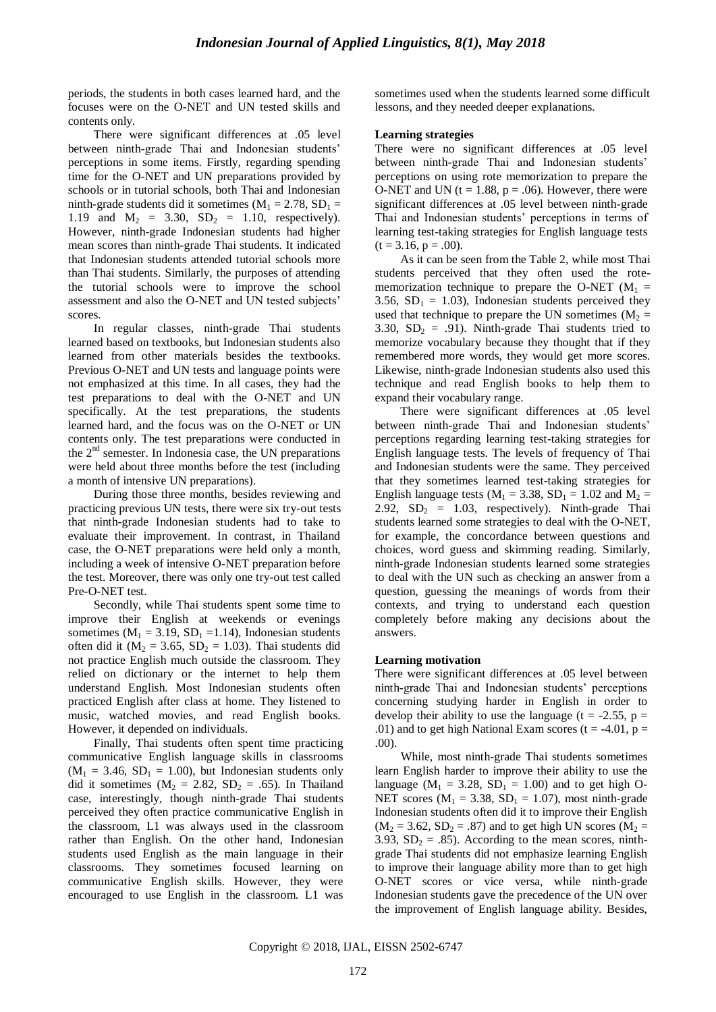periods, the students in both cases learned hard, and the focuses were on the O-NET and UN tested skills and contents only.

There were significant differences at .05 level between ninth-grade Thai and Indonesian students' perceptions in some items. Firstly, regarding spending time for the O-NET and UN preparations provided by schools or in tutorial schools, both Thai and Indonesian ninth-grade students did it sometimes ( $M_1 = 2.78$ ,  $SD_1 =$ 1.19 and  $M_2 = 3.30$ ,  $SD_2 = 1.10$ , respectively). However, ninth-grade Indonesian students had higher mean scores than ninth-grade Thai students. It indicated that Indonesian students attended tutorial schools more than Thai students. Similarly, the purposes of attending the tutorial schools were to improve the school assessment and also the O-NET and UN tested subjects" scores.

In regular classes, ninth-grade Thai students learned based on textbooks, but Indonesian students also learned from other materials besides the textbooks. Previous O-NET and UN tests and language points were not emphasized at this time. In all cases, they had the test preparations to deal with the O-NET and UN specifically. At the test preparations, the students learned hard, and the focus was on the O-NET or UN contents only. The test preparations were conducted in the 2nd semester. In Indonesia case, the UN preparations were held about three months before the test (including a month of intensive UN preparations).

During those three months, besides reviewing and practicing previous UN tests, there were six try-out tests that ninth-grade Indonesian students had to take to evaluate their improvement. In contrast, in Thailand case, the O-NET preparations were held only a month, including a week of intensive O-NET preparation before the test. Moreover, there was only one try-out test called Pre-O-NET test.

Secondly, while Thai students spent some time to improve their English at weekends or evenings sometimes ( $M_1 = 3.19$ ,  $SD_1 = 1.14$ ), Indonesian students often did it ( $M_2 = 3.65$ ,  $SD_2 = 1.03$ ). Thai students did not practice English much outside the classroom. They relied on dictionary or the internet to help them understand English. Most Indonesian students often practiced English after class at home. They listened to music, watched movies, and read English books. However, it depended on individuals.

Finally, Thai students often spent time practicing communicative English language skills in classrooms  $(M_1 = 3.46, SD_1 = 1.00)$ , but Indonesian students only did it sometimes ( $M_2 = 2.82$ ,  $SD_2 = .65$ ). In Thailand case, interestingly, though ninth-grade Thai students perceived they often practice communicative English in the classroom, L1 was always used in the classroom rather than English. On the other hand, Indonesian students used English as the main language in their classrooms. They sometimes focused learning on communicative English skills. However, they were encouraged to use English in the classroom. L1 was

sometimes used when the students learned some difficult lessons, and they needed deeper explanations.

#### **Learning strategies**

There were no significant differences at .05 level between ninth-grade Thai and Indonesian students' perceptions on using rote memorization to prepare the O-NET and UN ( $t = 1.88$ ,  $p = .06$ ). However, there were significant differences at .05 level between ninth-grade Thai and Indonesian students' perceptions in terms of learning test-taking strategies for English language tests  $(t = 3.16, p = .00)$ .

As it can be seen from the Table 2, while most Thai students perceived that they often used the rotememorization technique to prepare the O-NET ( $M_1$  = 3.56,  $SD_1 = 1.03$ ), Indonesian students perceived they used that technique to prepare the UN sometimes ( $M_2$  = 3.30,  $SD_2 = .91$ ). Ninth-grade Thai students tried to memorize vocabulary because they thought that if they remembered more words, they would get more scores. Likewise, ninth-grade Indonesian students also used this technique and read English books to help them to expand their vocabulary range.

There were significant differences at .05 level between ninth-grade Thai and Indonesian students' perceptions regarding learning test-taking strategies for English language tests. The levels of frequency of Thai and Indonesian students were the same. They perceived that they sometimes learned test-taking strategies for English language tests ( $M_1 = 3.38$ ,  $SD_1 = 1.02$  and  $M_2 =$ 2.92,  $SD_2 = 1.03$ , respectively). Ninth-grade Thai students learned some strategies to deal with the O-NET, for example, the concordance between questions and choices, word guess and skimming reading. Similarly, ninth-grade Indonesian students learned some strategies to deal with the UN such as checking an answer from a question, guessing the meanings of words from their contexts, and trying to understand each question completely before making any decisions about the answers.

#### **Learning motivation**

There were significant differences at .05 level between ninth-grade Thai and Indonesian students" perceptions concerning studying harder in English in order to develop their ability to use the language ( $t = -2.55$ ,  $p =$ .01) and to get high National Exam scores ( $t = -4.01$ ,  $p =$ .00).

While, most ninth-grade Thai students sometimes learn English harder to improve their ability to use the language ( $M_1 = 3.28$ ,  $SD_1 = 1.00$ ) and to get high O-NET scores ( $M_1 = 3.38$ ,  $SD_1 = 1.07$ ), most ninth-grade Indonesian students often did it to improve their English  $(M_2 = 3.62, SD_2 = .87)$  and to get high UN scores  $(M_2 = 3.62, SD_2 = .87)$ 3.93,  $SD_2 = .85$ ). According to the mean scores, ninthgrade Thai students did not emphasize learning English to improve their language ability more than to get high O-NET scores or vice versa, while ninth-grade Indonesian students gave the precedence of the UN over the improvement of English language ability. Besides,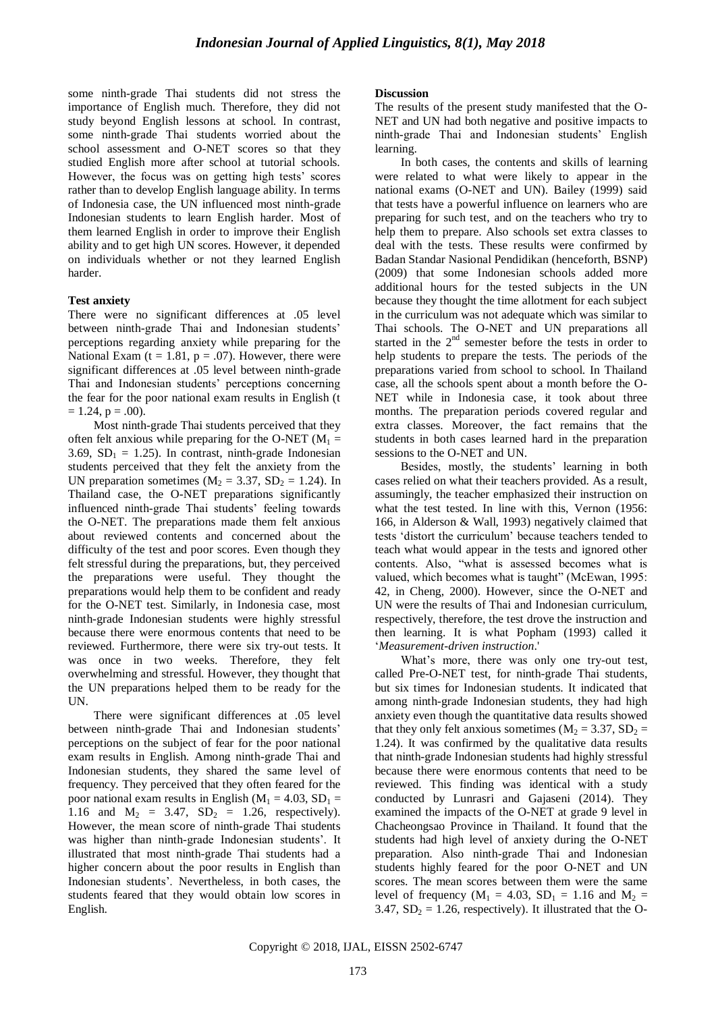some ninth-grade Thai students did not stress the importance of English much. Therefore, they did not study beyond English lessons at school. In contrast, some ninth-grade Thai students worried about the school assessment and O-NET scores so that they studied English more after school at tutorial schools. However, the focus was on getting high tests' scores rather than to develop English language ability. In terms of Indonesia case, the UN influenced most ninth-grade Indonesian students to learn English harder. Most of them learned English in order to improve their English ability and to get high UN scores. However, it depended on individuals whether or not they learned English harder.

#### **Test anxiety**

There were no significant differences at .05 level between ninth-grade Thai and Indonesian students' perceptions regarding anxiety while preparing for the National Exam ( $t = 1.81$ ,  $p = .07$ ). However, there were significant differences at .05 level between ninth-grade Thai and Indonesian students' perceptions concerning the fear for the poor national exam results in English (t  $= 1.24$ ,  $p = .00$ ).

Most ninth-grade Thai students perceived that they often felt anxious while preparing for the O-NET ( $M_1 =$ 3.69,  $SD_1 = 1.25$ ). In contrast, ninth-grade Indonesian students perceived that they felt the anxiety from the UN preparation sometimes ( $M_2 = 3.37$ , SD<sub>2</sub> = 1.24). In Thailand case, the O-NET preparations significantly influenced ninth-grade Thai students' feeling towards the O-NET. The preparations made them felt anxious about reviewed contents and concerned about the difficulty of the test and poor scores. Even though they felt stressful during the preparations, but, they perceived the preparations were useful. They thought the preparations would help them to be confident and ready for the O-NET test. Similarly, in Indonesia case, most ninth-grade Indonesian students were highly stressful because there were enormous contents that need to be reviewed. Furthermore, there were six try-out tests. It was once in two weeks. Therefore, they felt overwhelming and stressful. However, they thought that the UN preparations helped them to be ready for the UN.

There were significant differences at .05 level between ninth-grade Thai and Indonesian students' perceptions on the subject of fear for the poor national exam results in English. Among ninth-grade Thai and Indonesian students, they shared the same level of frequency. They perceived that they often feared for the poor national exam results in English ( $M_1 = 4.03$ ,  $SD_1 =$ 1.16 and  $M_2 = 3.47$ ,  $SD_2 = 1.26$ , respectively). However, the mean score of ninth-grade Thai students was higher than ninth-grade Indonesian students'. It illustrated that most ninth-grade Thai students had a higher concern about the poor results in English than Indonesian students". Nevertheless, in both cases, the students feared that they would obtain low scores in English.

#### **Discussion**

The results of the present study manifested that the O-NET and UN had both negative and positive impacts to ninth-grade Thai and Indonesian students" English learning.

In both cases, the contents and skills of learning were related to what were likely to appear in the national exams (O-NET and UN). Bailey (1999) said that tests have a powerful influence on learners who are preparing for such test, and on the teachers who try to help them to prepare. Also schools set extra classes to deal with the tests. These results were confirmed by Badan Standar Nasional Pendidikan (henceforth, BSNP) (2009) that some Indonesian schools added more additional hours for the tested subjects in the UN because they thought the time allotment for each subject in the curriculum was not adequate which was similar to Thai schools. The O-NET and UN preparations all started in the 2<sup>nd</sup> semester before the tests in order to help students to prepare the tests. The periods of the preparations varied from school to school. In Thailand case, all the schools spent about a month before the O-NET while in Indonesia case, it took about three months. The preparation periods covered regular and extra classes. Moreover, the fact remains that the students in both cases learned hard in the preparation sessions to the O-NET and UN.

Besides, mostly, the students' learning in both cases relied on what their teachers provided. As a result, assumingly, the teacher emphasized their instruction on what the test tested. In line with this, Vernon (1956: 166, in Alderson & Wall, 1993) negatively claimed that tests "distort the curriculum" because teachers tended to teach what would appear in the tests and ignored other contents. Also, "what is assessed becomes what is valued, which becomes what is taught" (McEwan, 1995: 42, in Cheng, 2000). However, since the O-NET and UN were the results of Thai and Indonesian curriculum, respectively, therefore, the test drove the instruction and then learning. It is what Popham (1993) called it "*Measurement-driven instruction*.'

What's more, there was only one try-out test, called Pre-O-NET test, for ninth-grade Thai students, but six times for Indonesian students. It indicated that among ninth-grade Indonesian students, they had high anxiety even though the quantitative data results showed that they only felt anxious sometimes ( $M_2 = 3.37$ ,  $SD_2 =$ 1.24). It was confirmed by the qualitative data results that ninth-grade Indonesian students had highly stressful because there were enormous contents that need to be reviewed. This finding was identical with a study conducted by Lunrasri and Gajaseni (2014). They examined the impacts of the O-NET at grade 9 level in Chacheongsao Province in Thailand. It found that the students had high level of anxiety during the O-NET preparation. Also ninth-grade Thai and Indonesian students highly feared for the poor O-NET and UN scores. The mean scores between them were the same level of frequency ( $M_1 = 4.03$ ,  $SD_1 = 1.16$  and  $M_2 =$ 3.47,  $SD_2 = 1.26$ , respectively). It illustrated that the O-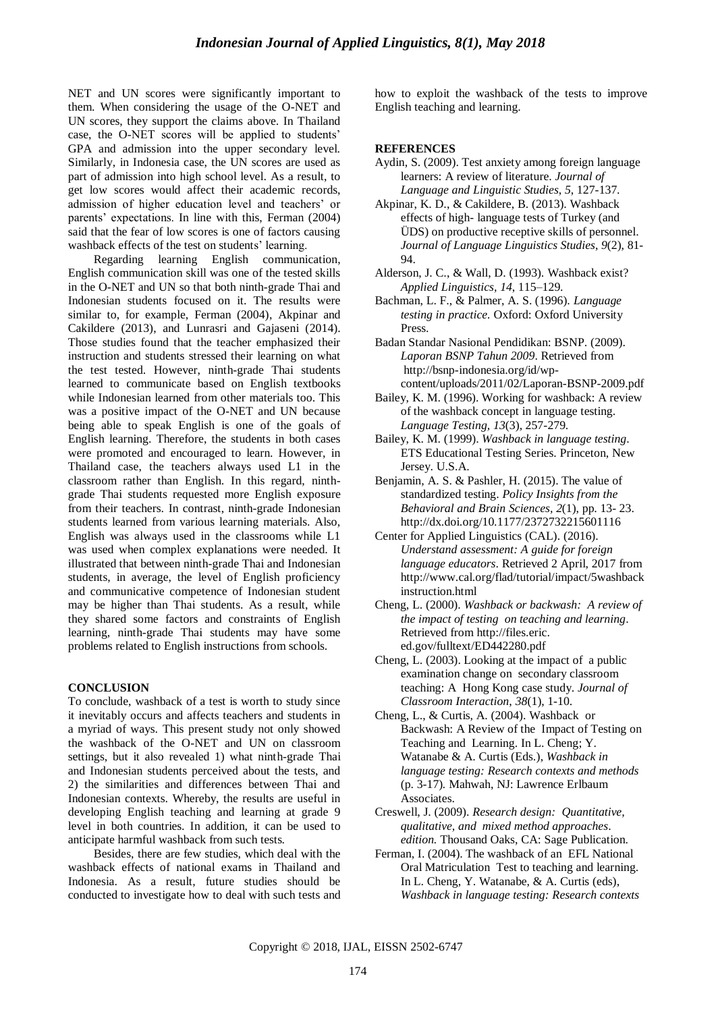NET and UN scores were significantly important to them. When considering the usage of the O-NET and UN scores, they support the claims above. In Thailand case, the O-NET scores will be applied to students" GPA and admission into the upper secondary level. Similarly, in Indonesia case, the UN scores are used as part of admission into high school level. As a result, to get low scores would affect their academic records, admission of higher education level and teachers' or parents" expectations. In line with this, Ferman (2004) said that the fear of low scores is one of factors causing washback effects of the test on students' learning.

Regarding learning English communication, English communication skill was one of the tested skills in the O-NET and UN so that both ninth-grade Thai and Indonesian students focused on it. The results were similar to, for example, Ferman (2004), Akpinar and Cakildere (2013), and Lunrasri and Gajaseni (2014). Those studies found that the teacher emphasized their instruction and students stressed their learning on what the test tested. However, ninth-grade Thai students learned to communicate based on English textbooks while Indonesian learned from other materials too. This was a positive impact of the O-NET and UN because being able to speak English is one of the goals of English learning. Therefore, the students in both cases were promoted and encouraged to learn. However, in Thailand case, the teachers always used L1 in the classroom rather than English. In this regard, ninthgrade Thai students requested more English exposure from their teachers. In contrast, ninth-grade Indonesian students learned from various learning materials. Also, English was always used in the classrooms while L1 was used when complex explanations were needed. It illustrated that between ninth-grade Thai and Indonesian students, in average, the level of English proficiency and communicative competence of Indonesian student may be higher than Thai students. As a result, while they shared some factors and constraints of English learning, ninth-grade Thai students may have some problems related to English instructions from schools.

#### **CONCLUSION**

To conclude, washback of a test is worth to study since it inevitably occurs and affects teachers and students in a myriad of ways. This present study not only showed the washback of the O-NET and UN on classroom settings, but it also revealed 1) what ninth-grade Thai and Indonesian students perceived about the tests, and 2) the similarities and differences between Thai and Indonesian contexts. Whereby, the results are useful in developing English teaching and learning at grade 9 level in both countries. In addition, it can be used to anticipate harmful washback from such tests.

Besides, there are few studies, which deal with the washback effects of national exams in Thailand and Indonesia. As a result, future studies should be conducted to investigate how to deal with such tests and how to exploit the washback of the tests to improve English teaching and learning.

#### **REFERENCES**

- Aydin, S. (2009). Test anxiety among foreign language learners: A review of literature. *Journal of Language and Linguistic Studies*, *5*, 127-137.
- Akpinar, K. D., & Cakildere, B. (2013). Washback effects of high- language tests of Turkey (and ÜDS) on productive receptive skills of personnel. *Journal of Language Linguistics Studies*, *9*(2), 81- 94.
- Alderson, J. C., & Wall, D. (1993). Washback exist? *Applied Linguistics, 14*, 115–129.
- Bachman, L. F., & Palmer, A. S. (1996). *Language testing in practice.* Oxford: Oxford University Press.
- Badan Standar Nasional Pendidikan: BSNP. (2009). *Laporan BSNP Tahun 2009*. Retrieved from [http://bsnp-indonesia.org/id/wp](http://bsnp-indonesia.org/id/wp-%20content/uploads/2011/02/Laporan-BSNP-2009.pdf)[content/uploads/2011/02/Laporan-BSNP-2009.pdf](http://bsnp-indonesia.org/id/wp-%20content/uploads/2011/02/Laporan-BSNP-2009.pdf)
- Bailey, K. M. (1996). Working for washback: A review of the washback concept in language testing. *Language Testing, 13*(3), 257-279.
- Bailey, K. M. (1999). *Washback in language testing*. ETS Educational Testing Series. Princeton, New Jersey. U.S.A.
- Benjamin, A. S. & Pashler, H. (2015). The value of standardized testing. *Policy Insights from the Behavioral and Brain Sciences, 2*(1), pp. 13- 23. http://dx.doi.org/10.1177/2372732215601116
- Center for Applied Linguistics (CAL). (2016). *Understand assessment: A guide for foreign language educators*. Retrieved 2 April, 2017 from http://www.cal.org/flad/tutorial/impact/5washback instruction.html
- Cheng, L. (2000). *Washback or backwash: A review of the impact of testing on teaching and learning*. Retrieved from http://files.eric. ed.gov/fulltext/ED442280.pdf
- Cheng, L. (2003). Looking at the impact of a public examination change on secondary classroom teaching: A Hong Kong case study. *Journal of Classroom Interaction*, *38*(1), 1-10.
- Cheng, L., & Curtis, A. (2004). Washback or Backwash: A Review of the Impact of Testing on Teaching and Learning. In L. Cheng; Y. Watanabe & A. Curtis (Eds.), *Washback in language testing: Research contexts and methods* (p. 3-17)*.* Mahwah, NJ: Lawrence Erlbaum Associates.
- Creswell, J. (2009). *Research design: Quantitative, qualitative, and mixed method approaches*. *edition.* Thousand Oaks, CA: Sage Publication.
- Ferman, I. (2004). The washback of an EFL National Oral Matriculation Test to teaching and learning. In L. Cheng, Y. Watanabe, & A. Curtis (eds), *Washback in language testing: Research contexts*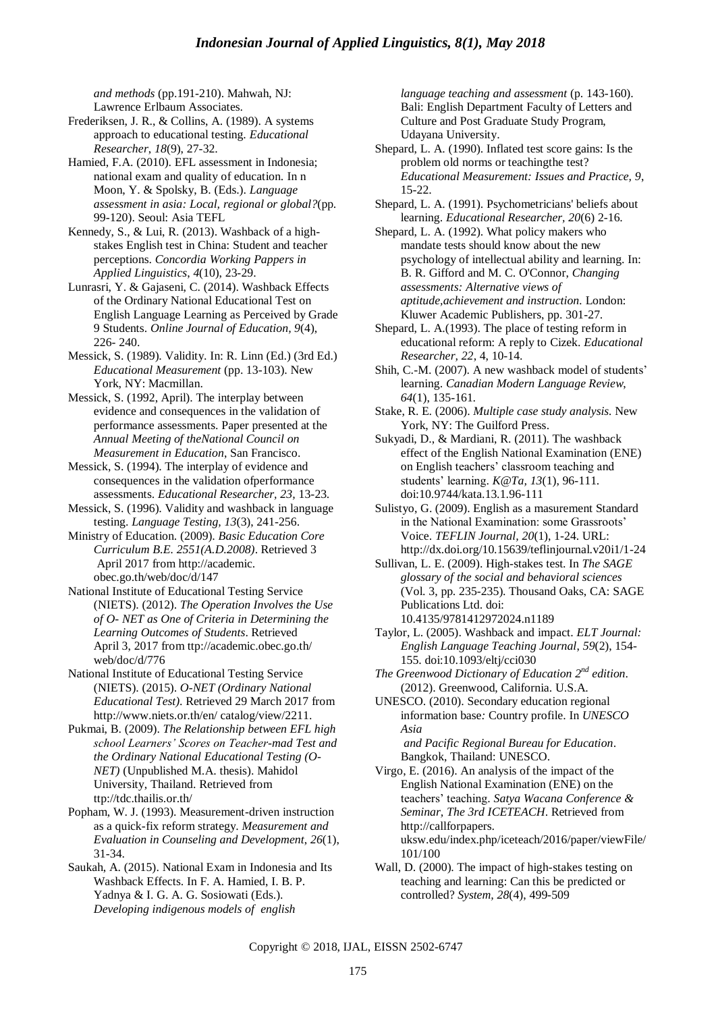*and methods* (pp.191-210). Mahwah, NJ: Lawrence Erlbaum Associates.

- Frederiksen, J. R., & Collins, A. (1989). A systems approach to educational testing. *Educational Researcher*, *18*(9), 27-32.
- Hamied, F.A. (2010). EFL assessment in Indonesia; national exam and quality of education. In n Moon, Y. & Spolsky, B. (Eds.). *Language assessment in asia: Local, regional or global?*(pp. 99-120). Seoul: Asia TEFL
- Kennedy, S., & Lui, R. (2013). Washback of a highstakes English test in China: Student and teacher perceptions. *Concordia Working Pappers in Applied Linguistics*, *4*(10), 23-29.
- Lunrasri, Y. & Gajaseni, C. (2014). Washback Effects of the Ordinary National Educational Test on English Language Learning as Perceived by Grade 9 Students. *Online Journal of Education, 9*(4), 226- 240.
- Messick, S. (1989). Validity. In: R. Linn (Ed.) (3rd Ed.) *Educational Measurement* (pp. 13-103). New York, NY: Macmillan.
- Messick, S. (1992, April). The interplay between evidence and consequences in the validation of performance assessments. Paper presented at the *Annual Meeting of theNational Council on Measurement in Education*, San Francisco.
- Messick, S. (1994). The interplay of evidence and consequences in the validation ofperformance assessments. *Educational Researcher, 23,* 13-23.
- Messick, S. (1996). Validity and washback in language testing. *Language Testing, 13*(3), 241-256.
- Ministry of Education. (2009). *Basic Education Core Curriculum B.E. 2551(A.D.2008)*. Retrieved 3 April 2017 from http://academic. obec.go.th/web/doc/d/147
- National Institute of Educational Testing Service (NIETS). (2012). *The Operation Involves the Use of O- NET as One of Criteria in Determining the Learning Outcomes of Students*. Retrieved April 3, 2017 from ttp://academic.obec.go.th/ web/doc/d/776
- National Institute of Educational Testing Service (NIETS). (2015). *O-NET (Ordinary National Educational Test)*. Retrieved 29 March 2017 from http://www.niets.or.th/en/ catalog/view/2211.
- Pukmai, B. (2009). *The Relationship between EFL high school Learners' Scores on Teacher-mad Test and the Ordinary National Educational Testing (O-NET)* (Unpublished M.A. thesis). Mahidol University, Thailand. Retrieved from ttp://tdc.thailis.or.th/
- Popham, W. J. (1993). Measurement-driven instruction as a quick-fix reform strategy. *Measurement and Evaluation in Counseling and Development*, *26*(1), 31-34.
- Saukah, A. (2015). National Exam in Indonesia and Its Washback Effects. In F. A. Hamied, I. B. P. Yadnya & I. G. A. G. Sosiowati (Eds.). *Developing indigenous models of english*

*language teaching and assessment* (p. 143-160). Bali: English Department Faculty of Letters and Culture and Post Graduate Study Program, Udayana University.

- Shepard, L. A. (1990). Inflated test score gains: Is the problem old norms or teachingthe test? *Educational Measurement: Issues and Practice, 9*, 15-22.
- Shepard, L. A. (1991). Psychometricians' beliefs about learning. *Educational Researcher, 20*(6) 2-16.
- Shepard, L. A. (1992). What policy makers who mandate tests should know about the new psychology of intellectual ability and learning. In: B. R. Gifford and M. C. O'Connor, *Changing assessments: Alternative views of aptitude,achievement and instruction.* London: Kluwer Academic Publishers, pp. 301-27.
- Shepard, L. A.(1993). The place of testing reform in educational reform: A reply to Cizek. *Educational Researcher, 22*, 4, 10-14.
- Shih, C.-M. (2007). A new washback model of students' learning. *Canadian Modern Language Review*, *64*(1), 135-161.
- Stake, R. E. (2006). *Multiple case study analysis.* New York, NY: The Guilford Press.
- Sukyadi, D., & Mardiani, R. (2011). The washback effect of the English National Examination (ENE) on English teachers' classroom teaching and students" learning. *K@Ta, 13*(1), 96-111. doi:10.9744/kata.13.1.96-111
- Sulistyo, G. (2009). English as a masurement Standard in the National Examination: some Grassroots' Voice. *TEFLIN Journal, 20*(1), 1-24. URL: http://dx.doi.org/10.15639/teflinjournal.v20i1/1-24
- Sullivan, L. E. (2009). High-stakes test. In *The SAGE glossary of the social and behavioral sciences* (Vol. 3, pp. 235-235). Thousand Oaks, CA: SAGE Publications Ltd. doi: 10.4135/9781412972024.n1189
- Taylor, L. (2005). Washback and impact. *ELT Journal: English Language Teaching Journal*, *59*(2), 154- 155. doi:10.1093/eltj/cci030
- *The Greenwood Dictionary of Education 2nd edition*. (2012). Greenwood, California. U.S.A.
- UNESCO. (2010). Secondary education regional information base*:* Country profile. In *UNESCO Asia and Pacific Regional Bureau for Education*.

Bangkok, Thailand: UNESCO.

- Virgo, E. (2016). An analysis of the impact of the English National Examination (ENE) on the teachers" teaching. *Satya Wacana Conference & Seminar, The 3rd ICETEACH*. Retrieved from http://callforpapers. uksw.edu/index.php/iceteach/2016/paper/viewFile/ 101/100
- Wall, D. (2000). The impact of high-stakes testing on teaching and learning: Can this be predicted or controlled? *System, 28*(4), 499-509